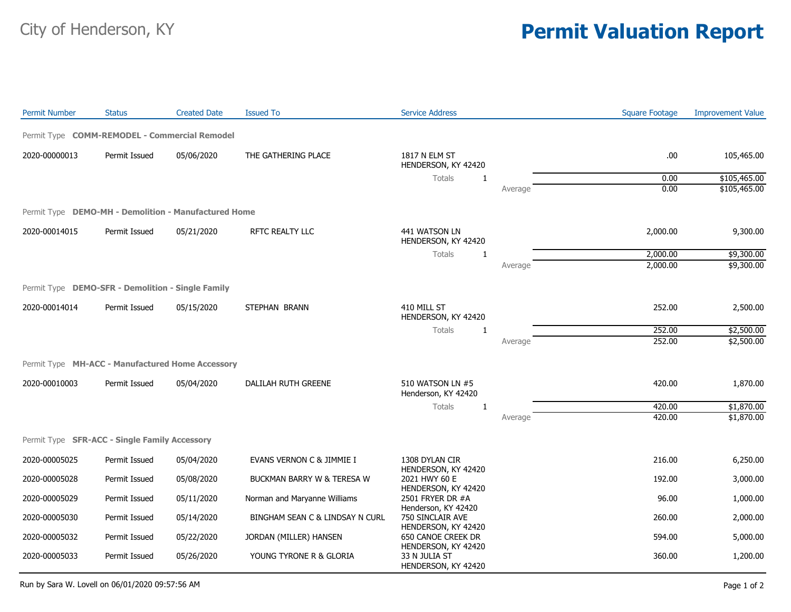## City of Henderson, KY **Permit Valuation Report**

| <b>Permit Number</b>                                 | <b>Status</b> | <b>Created Date</b> | <b>Issued To</b>                | <b>Service Address</b>                                         |         | <b>Square Footage</b> | <b>Improvement Value</b> |
|------------------------------------------------------|---------------|---------------------|---------------------------------|----------------------------------------------------------------|---------|-----------------------|--------------------------|
| Permit Type COMM-REMODEL - Commercial Remodel        |               |                     |                                 |                                                                |         |                       |                          |
| 2020-00000013                                        | Permit Issued | 05/06/2020          | THE GATHERING PLACE             | 1817 N ELM ST<br>HENDERSON, KY 42420                           |         | .00                   | 105,465.00               |
|                                                      |               |                     |                                 | Totals<br>$\mathbf{1}$                                         |         | 0.00                  | \$105,465.00             |
|                                                      |               |                     |                                 |                                                                | Average | 0.00                  | \$105,465.00             |
| Permit Type DEMO-MH - Demolition - Manufactured Home |               |                     |                                 |                                                                |         |                       |                          |
| 2020-00014015                                        | Permit Issued | 05/21/2020          | RFTC REALTY LLC                 | 441 WATSON LN<br>HENDERSON, KY 42420                           |         | 2,000.00              | 9,300.00                 |
|                                                      |               |                     |                                 | Totals<br>1                                                    |         | 2,000.00              | \$9,300.00               |
|                                                      |               |                     |                                 |                                                                | Average | 2,000.00              | \$9,300.00               |
| Permit Type DEMO-SFR - Demolition - Single Family    |               |                     |                                 |                                                                |         |                       |                          |
| 2020-00014014                                        | Permit Issued | 05/15/2020          | STEPHAN BRANN                   | 410 MILL ST<br>HENDERSON, KY 42420                             |         | 252.00                | 2,500.00                 |
|                                                      |               |                     |                                 | <b>Totals</b><br>1                                             |         | 252.00                | \$2,500.00               |
|                                                      |               |                     |                                 |                                                                | Average | 252.00                | \$2,500.00               |
| Permit Type MH-ACC - Manufactured Home Accessory     |               |                     |                                 |                                                                |         |                       |                          |
| 2020-00010003                                        | Permit Issued | 05/04/2020          | DALILAH RUTH GREENE             | 510 WATSON LN #5<br>Henderson, KY 42420                        |         | 420.00                | 1,870.00                 |
|                                                      |               |                     |                                 | Totals<br>1                                                    |         | 420.00                | \$1,870.00               |
|                                                      |               |                     |                                 |                                                                | Average | 420.00                | \$1,870.00               |
| Permit Type SFR-ACC - Single Family Accessory        |               |                     |                                 |                                                                |         |                       |                          |
| 2020-00005025                                        | Permit Issued | 05/04/2020          | EVANS VERNON C & JIMMIE I       | 1308 DYLAN CIR                                                 |         | 216.00                | 6,250.00                 |
| 2020-00005028                                        | Permit Issued | 05/08/2020          | BUCKMAN BARRY W & TERESA W      | HENDERSON, KY 42420<br>2021 HWY 60 E                           |         | 192.00                | 3,000.00                 |
| 2020-00005029                                        | Permit Issued | 05/11/2020          | Norman and Maryanne Williams    | HENDERSON, KY 42420<br>2501 FRYER DR #A                        |         | 96.00                 | 1,000.00                 |
| 2020-00005030                                        | Permit Issued | 05/14/2020          | BINGHAM SEAN C & LINDSAY N CURL | Henderson, KY 42420<br>750 SINCLAIR AVE<br>HENDERSON, KY 42420 |         | 260.00                | 2,000.00                 |
| 2020-00005032                                        | Permit Issued | 05/22/2020          | JORDAN (MILLER) HANSEN          | 650 CANOE CREEK DR<br>HENDERSON, KY 42420                      |         | 594.00                | 5,000.00                 |
| 2020-00005033                                        | Permit Issued | 05/26/2020          | YOUNG TYRONE R & GLORIA         | 33 N JULIA ST<br>HENDERSON, KY 42420                           |         | 360.00                | 1,200.00                 |